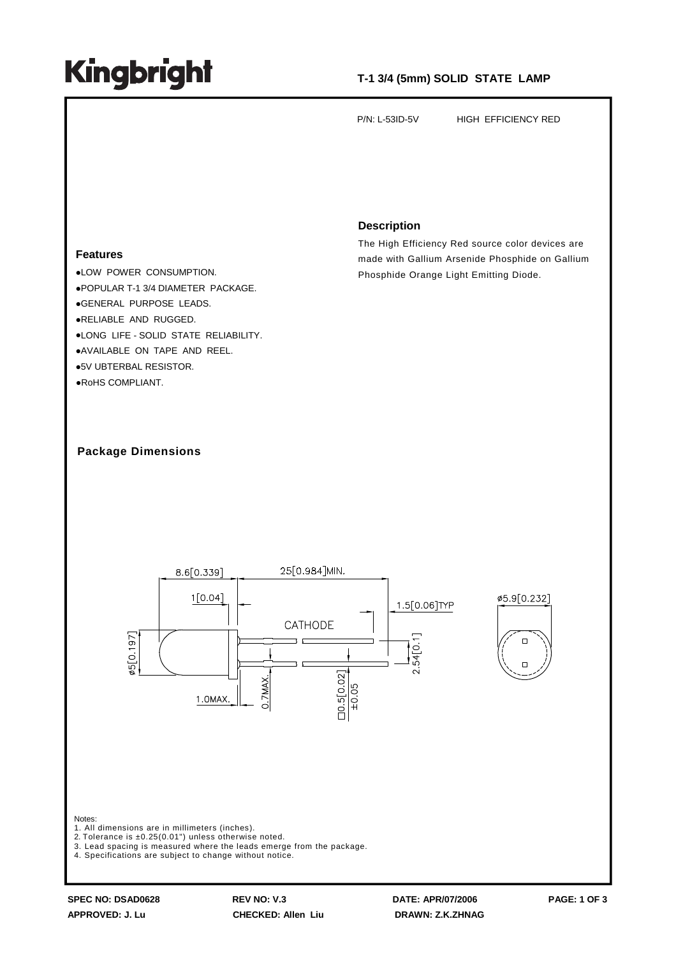## **Kingbright**

### **T-1 3/4 (5mm) SOLID STATE LAMP**

P/N: L-53ID-5V HIGH EFFICIENCY RED

#### **Features**

LOW POWER CONSUMPTION. POPULAR T-1 3/4 DIAMETER PACKAGE. GENERAL PURPOSE LEADS. RELIABLE AND RUGGED. LONG LIFE - SOLID STATE RELIABILITY. AVAILABLE ON TAPE AND REEL. 5V UBTERBAL RESISTOR. RoHS COMPLIANT.

#### **Description**

The High Efficiency Red source color devices are made with Gallium Arsenide Phosphide on Gallium Phosphide Orange Light Emitting Diode.

### **Package Dimensions**



**APPROVED: J. Lu CHECKED: Allen Liu DRAWN: Z.K.ZHNAG**

**SPEC NO: DSAD0628 REV NO: V.3 DATE: APR/07/2006 PAGE: 1 OF 3**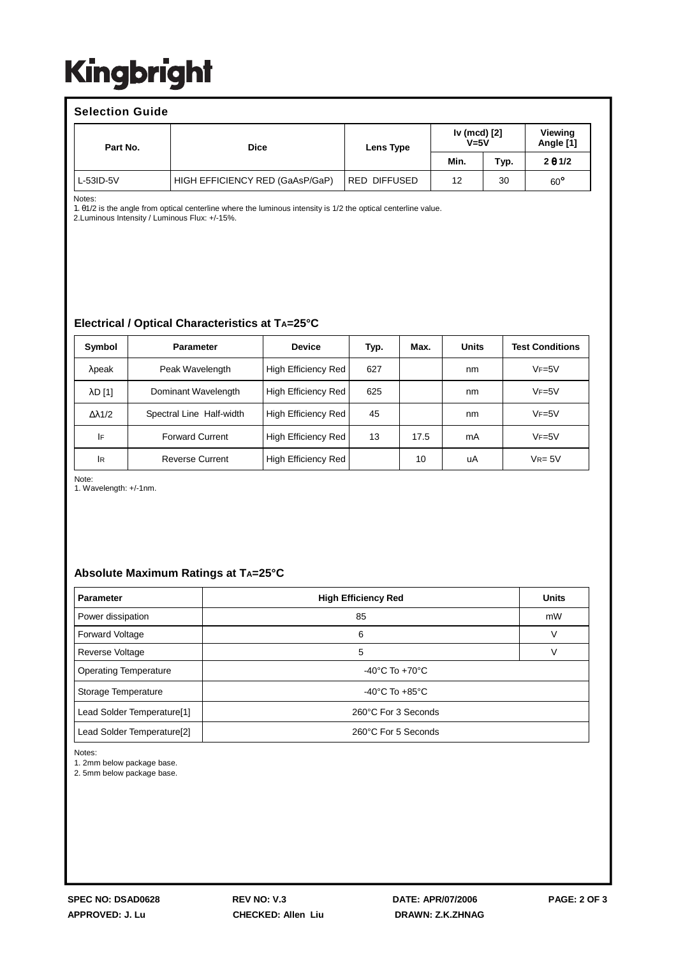## **Kingbright**

#### **Selection Guide** Part No.  $\qquad \qquad$  Dice **Lens Type Iv (mcd) [2] V=5V Viewing Angle [1] Min. Typ. 2** θ **1/2** L-53ID-5V **HIGH EFFICIENCY RED (GaAsP/GaP)** RED DIFFUSED 12 30 60<sup>°</sup>

Notes:

1. θ1/2 is the angle from optical centerline where the luminous intensity is 1/2 the optical centerline value. 2.Luminous Intensity / Luminous Flux: +/-15%.

## **Electrical / Optical Characteristics at TA=25°C**

| Symbol            | <b>Parameter</b>         | <b>Device</b>              | Typ. | Max. | Units | <b>Test Conditions</b> |
|-------------------|--------------------------|----------------------------|------|------|-------|------------------------|
| $\lambda$ peak    | Peak Wavelength          | High Efficiency Red        | 627  |      | nm    | $VF=5V$                |
| $\lambda$ D $[1]$ | Dominant Wavelength      | <b>High Efficiency Red</b> | 625  |      | nm    | $VF = 5V$              |
| Δλ1/2             | Spectral Line Half-width | High Efficiency Red        | 45   |      | nm    | $VF = 5V$              |
| IF                | <b>Forward Current</b>   | High Efficiency Red        | 13   | 17.5 | mA    | $VF=5V$                |
| <b>IR</b>         | <b>Reverse Current</b>   | High Efficiency Red        |      | 10   | uA    | $V_{R=5V}$             |

Note:

1. Wavelength: +/-1nm.

### **Absolute Maximum Ratings at TA=25°C**

| <b>Parameter</b>                       | <b>High Efficiency Red</b> | <b>Units</b> |  |  |  |
|----------------------------------------|----------------------------|--------------|--|--|--|
| Power dissipation                      | 85                         | mW           |  |  |  |
| <b>Forward Voltage</b>                 | 6                          |              |  |  |  |
| Reverse Voltage                        | 5                          |              |  |  |  |
| <b>Operating Temperature</b>           | -40°C To +70°C             |              |  |  |  |
| Storage Temperature                    | -40°C To $+85^{\circ}$ C   |              |  |  |  |
| Lead Solder Temperature[1]             | 260°C For 3 Seconds        |              |  |  |  |
| Lead Solder Temperature <sup>[2]</sup> | 260°C For 5 Seconds        |              |  |  |  |

Notes:

1. 2mm below package base.

2. 5mm below package base.